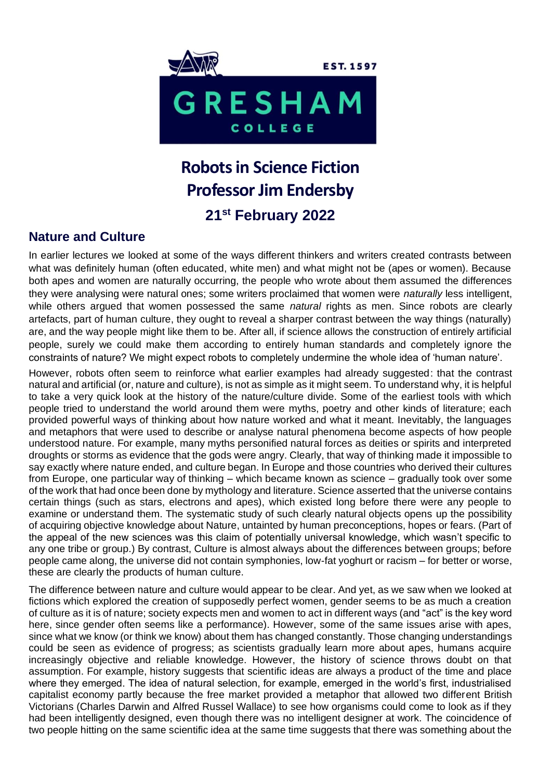

# **Robots in Science Fiction Professor Jim Endersby 21st February 2022**

## **Nature and Culture**

In earlier lectures we looked at some of the ways different thinkers and writers created contrasts between what was definitely human (often educated, white men) and what might not be (apes or women). Because both apes and women are naturally occurring, the people who wrote about them assumed the differences they were analysing were natural ones; some writers proclaimed that women were *naturally* less intelligent, while others argued that women possessed the same *natural* rights as men. Since robots are clearly artefacts, part of human culture, they ought to reveal a sharper contrast between the way things (naturally) are, and the way people might like them to be. After all, if science allows the construction of entirely artificial people, surely we could make them according to entirely human standards and completely ignore the constraints of nature? We might expect robots to completely undermine the whole idea of 'human nature'.

However, robots often seem to reinforce what earlier examples had already suggested: that the contrast natural and artificial (or, nature and culture), is not as simple as it might seem. To understand why, it is helpful to take a very quick look at the history of the nature/culture divide. Some of the earliest tools with which people tried to understand the world around them were myths, poetry and other kinds of literature; each provided powerful ways of thinking about how nature worked and what it meant. Inevitably, the languages and metaphors that were used to describe or analyse natural phenomena become aspects of how people understood nature. For example, many myths personified natural forces as deities or spirits and interpreted droughts or storms as evidence that the gods were angry. Clearly, that way of thinking made it impossible to say exactly where nature ended, and culture began. In Europe and those countries who derived their cultures from Europe, one particular way of thinking – which became known as science – gradually took over some of the work that had once been done by mythology and literature. Science asserted that the universe contains certain things (such as stars, electrons and apes), which existed long before there were any people to examine or understand them. The systematic study of such clearly natural objects opens up the possibility of acquiring objective knowledge about Nature, untainted by human preconceptions, hopes or fears. (Part of the appeal of the new sciences was this claim of potentially universal knowledge, which wasn't specific to any one tribe or group.) By contrast, Culture is almost always about the differences between groups; before people came along, the universe did not contain symphonies, low-fat yoghurt or racism – for better or worse, these are clearly the products of human culture.

The difference between nature and culture would appear to be clear. And yet, as we saw when we looked at fictions which explored the creation of supposedly perfect women, gender seems to be as much a creation of culture as it is of nature; society expects men and women to act in different ways (and "act" is the key word here, since gender often seems like a performance). However, some of the same issues arise with apes, since what we know (or think we know) about them has changed constantly. Those changing understandings could be seen as evidence of progress; as scientists gradually learn more about apes, humans acquire increasingly objective and reliable knowledge. However, the history of science throws doubt on that assumption. For example, history suggests that scientific ideas are always a product of the time and place where they emerged. The idea of natural selection, for example, emerged in the world's first, industrialised capitalist economy partly because the free market provided a metaphor that allowed two different British Victorians (Charles Darwin and Alfred Russel Wallace) to see how organisms could come to look as if they had been intelligently designed, even though there was no intelligent designer at work. The coincidence of two people hitting on the same scientific idea at the same time suggests that there was something about the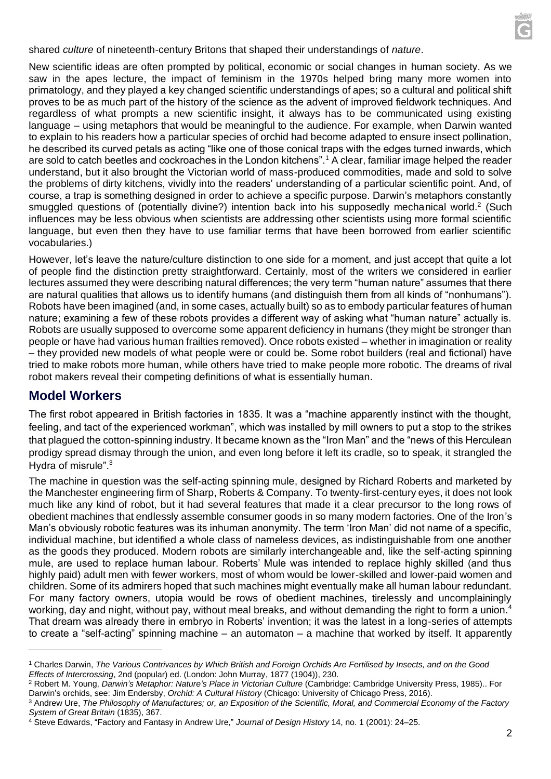shared *culture* of nineteenth-century Britons that shaped their understandings of *nature*.

New scientific ideas are often prompted by political, economic or social changes in human society. As we saw in the apes lecture, the impact of feminism in the 1970s helped bring many more women into primatology, and they played a key changed scientific understandings of apes; so a cultural and political shift proves to be as much part of the history of the science as the advent of improved fieldwork techniques. And regardless of what prompts a new scientific insight, it always has to be communicated using existing language – using metaphors that would be meaningful to the audience. For example, when Darwin wanted to explain to his readers how a particular species of orchid had become adapted to ensure insect pollination, he described its curved petals as acting "like one of those conical traps with the edges turned inwards, which are sold to catch beetles and cockroaches in the London kitchens".<sup>1</sup> A clear, familiar image helped the reader understand, but it also brought the Victorian world of mass-produced commodities, made and sold to solve the problems of dirty kitchens, vividly into the readers' understanding of a particular scientific point. And, of course, a trap is something designed in order to achieve a specific purpose. Darwin's metaphors constantly smuggled questions of (potentially divine?) intention back into his supposedly mechanical world.<sup>2</sup> (Such influences may be less obvious when scientists are addressing other scientists using more formal scientific language, but even then they have to use familiar terms that have been borrowed from earlier scientific vocabularies.)

However, let's leave the nature/culture distinction to one side for a moment, and just accept that quite a lot of people find the distinction pretty straightforward. Certainly, most of the writers we considered in earlier lectures assumed they were describing natural differences; the very term "human nature" assumes that there are natural qualities that allows us to identify humans (and distinguish them from all kinds of "nonhumans"). Robots have been imagined (and, in some cases, actually built) so as to embody particular features of human nature; examining a few of these robots provides a different way of asking what "human nature" actually is. Robots are usually supposed to overcome some apparent deficiency in humans (they might be stronger than people or have had various human frailties removed). Once robots existed – whether in imagination or reality – they provided new models of what people were or could be. Some robot builders (real and fictional) have tried to make robots more human, while others have tried to make people more robotic. The dreams of rival robot makers reveal their competing definitions of what is essentially human.

### **Model Workers**

The first robot appeared in British factories in 1835. It was a "machine apparently instinct with the thought, feeling, and tact of the experienced workman", which was installed by mill owners to put a stop to the strikes that plagued the cotton-spinning industry. It became known as the "Iron Man" and the "news of this Herculean prodigy spread dismay through the union, and even long before it left its cradle, so to speak, it strangled the Hydra of misrule".<sup>3</sup>

The machine in question was the self-acting spinning mule, designed by Richard Roberts and marketed by the Manchester engineering firm of Sharp, Roberts & Company. To twenty-first-century eyes, it does not look much like any kind of robot, but it had several features that made it a clear precursor to the long rows of obedient machines that endlessly assemble consumer goods in so many modern factories. One of the Iron's Man's obviously robotic features was its inhuman anonymity. The term 'Iron Man' did not name of a specific, individual machine, but identified a whole class of nameless devices, as indistinguishable from one another as the goods they produced. Modern robots are similarly interchangeable and, like the self-acting spinning mule, are used to replace human labour. Roberts' Mule was intended to replace highly skilled (and thus highly paid) adult men with fewer workers, most of whom would be lower-skilled and lower-paid women and children. Some of its admirers hoped that such machines might eventually make all human labour redundant. For many factory owners, utopia would be rows of obedient machines, tirelessly and uncomplainingly working, day and night, without pay, without meal breaks, and without demanding the right to form a union.<sup>4</sup> That dream was already there in embryo in Roberts' invention; it was the latest in a long-series of attempts to create a "self-acting" spinning machine – an automaton – a machine that worked by itself. It apparently

<sup>1</sup> Charles Darwin, *The Various Contrivances by Which British and Foreign Orchids Are Fertilised by Insects, and on the Good Effects of Intercrossing*, 2nd (popular) ed. (London: John Murray, 1877 (1904)), 230.

<sup>2</sup> Robert M. Young, *Darwin's Metaphor: Nature's Place in Victorian Culture* (Cambridge: Cambridge University Press, 1985).. For Darwin's orchids, see: Jim Endersby, *Orchid: A Cultural History* (Chicago: University of Chicago Press, 2016).

<sup>3</sup> Andrew Ure, *The Philosophy of Manufactures; or, an Exposition of the Scientific, Moral, and Commercial Economy of the Factory System of Great Britain* (1835), 367.

<sup>4</sup> Steve Edwards, "Factory and Fantasy in Andrew Ure," *Journal of Design History* 14, no. 1 (2001): 24–25.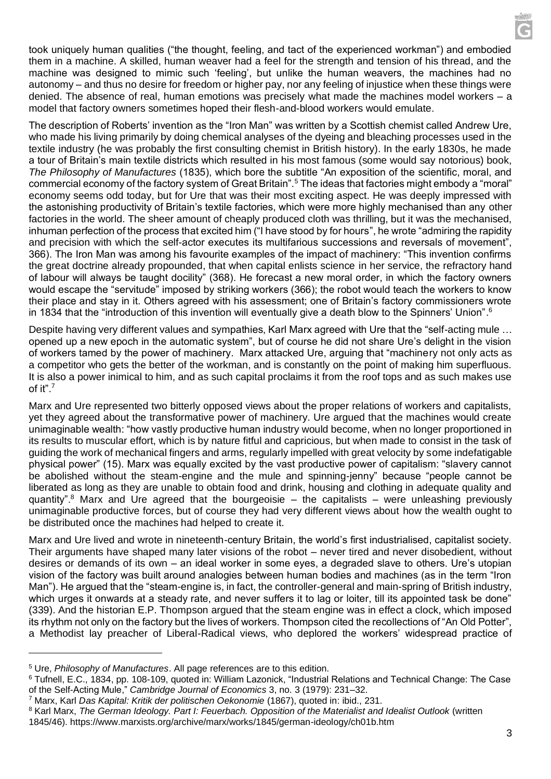took uniquely human qualities ("the thought, feeling, and tact of the experienced workman") and embodied them in a machine. A skilled, human weaver had a feel for the strength and tension of his thread, and the machine was designed to mimic such 'feeling', but unlike the human weavers, the machines had no autonomy – and thus no desire for freedom or higher pay, nor any feeling of injustice when these things were denied. The absence of real, human emotions was precisely what made the machines model workers – a model that factory owners sometimes hoped their flesh-and-blood workers would emulate.

The description of Roberts' invention as the "Iron Man" was written by a Scottish chemist called Andrew Ure, who made his living primarily by doing chemical analyses of the dyeing and bleaching processes used in the textile industry (he was probably the first consulting chemist in British history). In the early 1830s, he made a tour of Britain's main textile districts which resulted in his most famous (some would say notorious) book, *The Philosophy of Manufactures* (1835), which bore the subtitle "An exposition of the scientific, moral, and commercial economy of the factory system of Great Britain".<sup>5</sup> The ideas that factories might embody a "moral" economy seems odd today, but for Ure that was their most exciting aspect. He was deeply impressed with the astonishing productivity of Britain's textile factories, which were more highly mechanised than any other factories in the world. The sheer amount of cheaply produced cloth was thrilling, but it was the mechanised, inhuman perfection of the process that excited him ("I have stood by for hours", he wrote "admiring the rapidity and precision with which the self-actor executes its multifarious successions and reversals of movement", 366). The Iron Man was among his favourite examples of the impact of machinery: "This invention confirms the great doctrine already propounded, that when capital enlists science in her service, the refractory hand of labour will always be taught docility" (368). He forecast a new moral order, in which the factory owners would escape the "servitude" imposed by striking workers (366); the robot would teach the workers to know their place and stay in it. Others agreed with his assessment; one of Britain's factory commissioners wrote in 1834 that the "introduction of this invention will eventually give a death blow to the Spinners' Union".  $6$ 

Despite having very different values and sympathies, Karl Marx agreed with Ure that the "self-acting mule … opened up a new epoch in the automatic system", but of course he did not share Ure's delight in the vision of workers tamed by the power of machinery. Marx attacked Ure, arguing that "machinery not only acts as a competitor who gets the better of the workman, and is constantly on the point of making him superfluous. It is also a power inimical to him, and as such capital proclaims it from the roof tops and as such makes use of it". 7

Marx and Ure represented two bitterly opposed views about the proper relations of workers and capitalists, yet they agreed about the transformative power of machinery. Ure argued that the machines would create unimaginable wealth: "how vastly productive human industry would become, when no longer proportioned in its results to muscular effort, which is by nature fitful and capricious, but when made to consist in the task of guiding the work of mechanical fingers and arms, regularly impelled with great velocity by some indefatigable physical power" (15). Marx was equally excited by the vast productive power of capitalism: "slavery cannot be abolished without the steam-engine and the mule and spinning-jenny" because "people cannot be liberated as long as they are unable to obtain food and drink, housing and clothing in adequate quality and quantity".<sup>8</sup> Marx and Ure agreed that the bourgeoisie – the capitalists – were unleashing previously unimaginable productive forces, but of course they had very different views about how the wealth ought to be distributed once the machines had helped to create it.

Marx and Ure lived and wrote in nineteenth-century Britain, the world's first industrialised, capitalist society. Their arguments have shaped many later visions of the robot – never tired and never disobedient, without desires or demands of its own – an ideal worker in some eyes, a degraded slave to others. Ure's utopian vision of the factory was built around analogies between human bodies and machines (as in the term "Iron Man"). He argued that the "steam-engine is, in fact, the controller-general and main-spring of British industry, which urges it onwards at a steady rate, and never suffers it to lag or loiter, till its appointed task be done" (339). And the historian E.P. Thompson argued that the steam engine was in effect a clock, which imposed its rhythm not only on the factory but the lives of workers. Thompson cited the recollections of "An Old Potter", a Methodist lay preacher of Liberal-Radical views, who deplored the workers' widespread practice of

<sup>5</sup> Ure, *Philosophy of Manufactures*. All page references are to this edition.

<sup>6</sup> Tufnell, E.C., 1834, pp. 108-109, quoted in: William Lazonick, "Industrial Relations and Technical Change: The Case of the Self-Acting Mule," *Cambridge Journal of Economics* 3, no. 3 (1979): 231–32.

<sup>7</sup> Marx, Karl *Das Kapital: Kritik der politischen Oekonomie* (1867), quoted in: ibid., 231.

<sup>8</sup> Karl Marx, *The German Ideology. Part I: Feuerbach. Opposition of the Materialist and Idealist Outlook* (written

<sup>1845/46).</sup> https://www.marxists.org/archive/marx/works/1845/german-ideology/ch01b.htm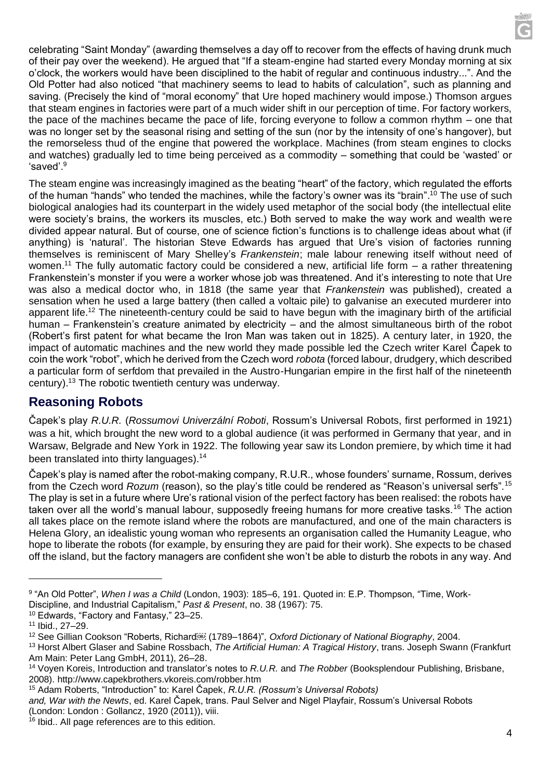celebrating "Saint Monday" (awarding themselves a day off to recover from the effects of having drunk much of their pay over the weekend). He argued that "If a steam-engine had started every Monday morning at six o'clock, the workers would have been disciplined to the habit of regular and continuous industry...". And the Old Potter had also noticed "that machinery seems to lead to habits of calculation", such as planning and saving. (Precisely the kind of "moral economy" that Ure hoped machinery would impose.) Thomson argues that steam engines in factories were part of a much wider shift in our perception of time. For factory workers, the pace of the machines became the pace of life, forcing everyone to follow a common rhythm – one that was no longer set by the seasonal rising and setting of the sun (nor by the intensity of one's hangover), but the remorseless thud of the engine that powered the workplace. Machines (from steam engines to clocks and watches) gradually led to time being perceived as a commodity – something that could be 'wasted' or 'saved'.<sup>9</sup>

The steam engine was increasingly imagined as the beating "heart" of the factory, which regulated the efforts of the human "hands" who tended the machines, while the factory's owner was its "brain".<sup>10</sup> The use of such biological analogies had its counterpart in the widely used metaphor of the social body (the intellectual elite were society's brains, the workers its muscles, etc.) Both served to make the way work and wealth were divided appear natural. But of course, one of science fiction's functions is to challenge ideas about what (if anything) is 'natural'. The historian Steve Edwards has argued that Ure's vision of factories running themselves is reminiscent of Mary Shelley's *Frankenstein*; male labour renewing itself without need of women.<sup>11</sup> The fully automatic factory could be considered a new, artificial life form  $-$  a rather threatening Frankenstein's monster if you were a worker whose job was threatened. And it's interesting to note that Ure was also a medical doctor who, in 1818 (the same year that *Frankenstein* was published), created a sensation when he used a large battery (then called a voltaic pile) to galvanise an executed murderer into apparent life.<sup>12</sup> The nineteenth-century could be said to have begun with the imaginary birth of the artificial human – Frankenstein's creature animated by electricity – and the almost simultaneous birth of the robot (Robert's first patent for what became the Iron Man was taken out in 1825). A century later, in 1920, the impact of automatic machines and the new world they made possible led the Czech writer Karel Čapek to coin the work "robot", which he derived from the Czech word *robota* (forced labour, drudgery, which described a particular form of serfdom that prevailed in the Austro-Hungarian empire in the first half of the nineteenth century).<sup>13</sup> The robotic twentieth century was underway.

# **Reasoning Robots**

Čapek's play *R.U.R.* (*Rossumovi Univerzální Roboti*, Rossum's Universal Robots, first performed in 1921) was a hit, which brought the new word to a global audience (it was performed in Germany that year, and in Warsaw, Belgrade and New York in 1922. The following year saw its London premiere, by which time it had been translated into thirty languages).<sup>14</sup>

Čapek's play is named after the robot-making company, R.U.R., whose founders' surname, Rossum, derives from the Czech word *Rozum* (reason), so the play's title could be rendered as "Reason's universal serfs".<sup>15</sup> The play is set in a future where Ure's rational vision of the perfect factory has been realised: the robots have taken over all the world's manual labour, supposedly freeing humans for more creative tasks.<sup>16</sup> The action all takes place on the remote island where the robots are manufactured, and one of the main characters is Helena Glory, an idealistic young woman who represents an organisation called the Humanity League, who hope to liberate the robots (for example, by ensuring they are paid for their work). She expects to be chased off the island, but the factory managers are confident she won't be able to disturb the robots in any way. And

<sup>9</sup> "An Old Potter", *When I was a Child* (London, 1903): 185–6, 191. Quoted in: E.P. Thompson, "Time, Work-Discipline, and Industrial Capitalism," *Past & Present*, no. 38 (1967): 75.

<sup>10</sup> Edwards, "Factory and Fantasy," 23–25.

<sup>11</sup> Ibid., 27–29.

<sup>12</sup> See Gillian Cookson "Roberts, Richard (1789–1864)", *Oxford Dictionary of National Biography*, 2004.

<sup>13</sup> Horst Albert Glaser and Sabine Rossbach, *The Artificial Human: A Tragical History*, trans. Joseph Swann (Frankfurt Am Main: Peter Lang GmbH, 2011), 26–28.

<sup>14</sup> Voyen Koreis, Introduction and translator's notes to *R.U.R.* and *The Robber* (Booksplendour Publishing, Brisbane, 2008). http://www.capekbrothers.vkoreis.com/robber.htm

<sup>15</sup> Adam Roberts, "Introduction" to: Karel Čapek, *R.U.R. (Rossum's Universal Robots)*

*and, War with the Newts*, ed. Karel Čapek, trans. Paul Selver and Nigel Playfair, Rossum's Universal Robots (London: London : Gollancz, 1920 (2011)), viii.

<sup>&</sup>lt;sup>16</sup> Ibid.. All page references are to this edition.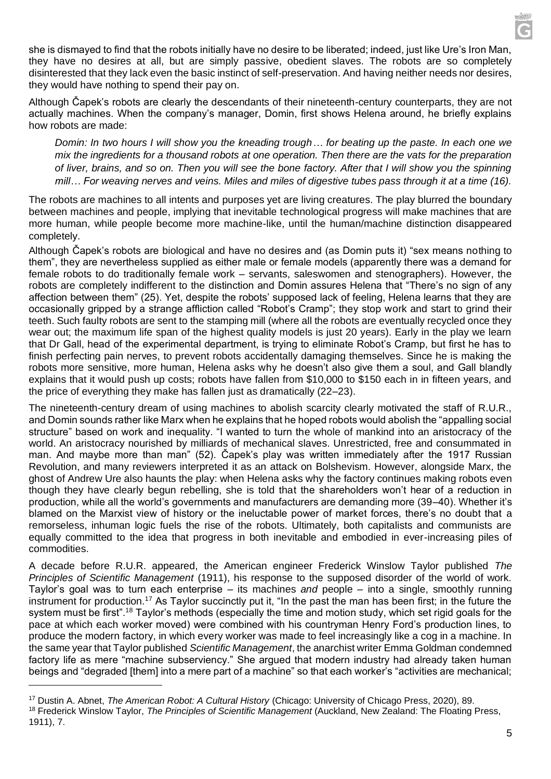she is dismayed to find that the robots initially have no desire to be liberated; indeed, just like Ure's Iron Man, they have no desires at all, but are simply passive, obedient slaves. The robots are so completely disinterested that they lack even the basic instinct of self-preservation. And having neither needs nor desires, they would have nothing to spend their pay on.

Although Čapek's robots are clearly the descendants of their nineteenth-century counterparts, they are not actually machines. When the company's manager, Domin, first shows Helena around, he briefly explains how robots are made:

*Domin: In two hours I will show you the kneading trough… for beating up the paste. In each one we mix the ingredients for a thousand robots at one operation. Then there are the vats for the preparation of liver, brains, and so on. Then you will see the bone factory. After that I will show you the spinning mill… For weaving nerves and veins. Miles and miles of digestive tubes pass through it at a time (16).*

The robots are machines to all intents and purposes yet are living creatures. The play blurred the boundary between machines and people, implying that inevitable technological progress will make machines that are more human, while people become more machine-like, until the human/machine distinction disappeared completely.

Although Čapek's robots are biological and have no desires and (as Domin puts it) "sex means nothing to them", they are nevertheless supplied as either male or female models (apparently there was a demand for female robots to do traditionally female work – servants, saleswomen and stenographers). However, the robots are completely indifferent to the distinction and Domin assures Helena that "There's no sign of any affection between them" (25). Yet, despite the robots' supposed lack of feeling, Helena learns that they are occasionally gripped by a strange affliction called "Robot's Cramp"; they stop work and start to grind their teeth. Such faulty robots are sent to the stamping mill (where all the robots are eventually recycled once they wear out; the maximum life span of the highest quality models is just 20 years). Early in the play we learn that Dr Gall, head of the experimental department, is trying to eliminate Robot's Cramp, but first he has to finish perfecting pain nerves, to prevent robots accidentally damaging themselves. Since he is making the robots more sensitive, more human, Helena asks why he doesn't also give them a soul, and Gall blandly explains that it would push up costs; robots have fallen from \$10,000 to \$150 each in in fifteen years, and the price of everything they make has fallen just as dramatically (22–23).

The nineteenth-century dream of using machines to abolish scarcity clearly motivated the staff of R.U.R., and Domin sounds rather like Marx when he explains that he hoped robots would abolish the "appalling social structure" based on work and inequality. "I wanted to turn the whole of mankind into an aristocracy of the world. An aristocracy nourished by milliards of mechanical slaves. Unrestricted, free and consummated in man. And maybe more than man" (52). Čapek's play was written immediately after the 1917 Russian Revolution, and many reviewers interpreted it as an attack on Bolshevism. However, alongside Marx, the ghost of Andrew Ure also haunts the play: when Helena asks why the factory continues making robots even though they have clearly begun rebelling, she is told that the shareholders won't hear of a reduction in production, while all the world's governments and manufacturers are demanding more (39–40). Whether it's blamed on the Marxist view of history or the ineluctable power of market forces, there's no doubt that a remorseless, inhuman logic fuels the rise of the robots. Ultimately, both capitalists and communists are equally committed to the idea that progress in both inevitable and embodied in ever-increasing piles of commodities.

A decade before R.U.R. appeared, the American engineer Frederick Winslow Taylor published *The Principles of Scientific Management* (1911), his response to the supposed disorder of the world of work. Taylor's goal was to turn each enterprise – its machines *and* people – into a single, smoothly running instrument for production.<sup>17</sup> As Taylor succinctly put it, "In the past the man has been first; in the future the system must be first".<sup>18</sup> Taylor's methods (especially the time and motion study, which set rigid goals for the pace at which each worker moved) were combined with his countryman Henry Ford's production lines, to produce the modern factory, in which every worker was made to feel increasingly like a cog in a machine. In the same year that Taylor published *Scientific Management*, the anarchist writer Emma Goldman condemned factory life as mere "machine subserviency." She argued that modern industry had already taken human beings and "degraded [them] into a mere part of a machine" so that each worker's "activities are mechanical;

<sup>17</sup> Dustin A. Abnet, *The American Robot: A Cultural History* (Chicago: University of Chicago Press, 2020), 89. <sup>18</sup> Frederick Winslow Taylor, *The Principles of Scientific Management* (Auckland, New Zealand: The Floating Press, 1911), 7.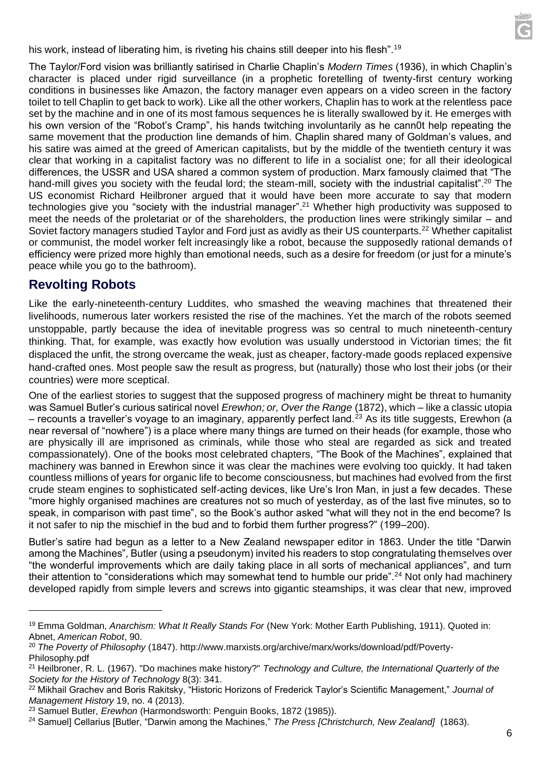his work, instead of liberating him, is riveting his chains still deeper into his flesh".<sup>19</sup>

The Taylor/Ford vision was brilliantly satirised in Charlie Chaplin's *Modern Times* (1936), in which Chaplin's character is placed under rigid surveillance (in a prophetic foretelling of twenty-first century working conditions in businesses like Amazon, the factory manager even appears on a video screen in the factory toilet to tell Chaplin to get back to work). Like all the other workers, Chaplin has to work at the relentless pace set by the machine and in one of its most famous sequences he is literally swallowed by it. He emerges with his own version of the "Robot's Cramp", his hands twitching involuntarily as he cann0t help repeating the same movement that the production line demands of him. Chaplin shared many of Goldman's values, and his satire was aimed at the greed of American capitalists, but by the middle of the twentieth century it was clear that working in a capitalist factory was no different to life in a socialist one; for all their ideological differences, the USSR and USA shared a common system of production. Marx famously claimed that "The hand-mill gives you society with the feudal lord; the steam-mill, society with the industrial capitalist".<sup>20</sup> The US economist Richard Heilbroner argued that it would have been more accurate to say that modern technologies give you "society with the industrial manager".<sup>21</sup> Whether high productivity was supposed to meet the needs of the proletariat or of the shareholders, the production lines were strikingly similar – and Soviet factory managers studied Taylor and Ford just as avidly as their US counterparts.<sup>22</sup> Whether capitalist or communist, the model worker felt increasingly like a robot, because the supposedly rational demands of efficiency were prized more highly than emotional needs, such as a desire for freedom (or just for a minute's peace while you go to the bathroom).

### **Revolting Robots**

Like the early-nineteenth-century Luddites, who smashed the weaving machines that threatened their livelihoods, numerous later workers resisted the rise of the machines. Yet the march of the robots seemed unstoppable, partly because the idea of inevitable progress was so central to much nineteenth-century thinking. That, for example, was exactly how evolution was usually understood in Victorian times; the fit displaced the unfit, the strong overcame the weak, just as cheaper, factory-made goods replaced expensive hand-crafted ones. Most people saw the result as progress, but (naturally) those who lost their jobs (or their countries) were more sceptical.

One of the earliest stories to suggest that the supposed progress of machinery might be threat to humanity was Samuel Butler's curious satirical novel *Erewhon; or, Over the Range* (1872), which – like a classic utopia – recounts a traveller's voyage to an imaginary, apparently perfect land.<sup>23</sup> As its title suggests, Erewhon (a near reversal of "nowhere") is a place where many things are turned on their heads (for example, those who are physically ill are imprisoned as criminals, while those who steal are regarded as sick and treated compassionately). One of the books most celebrated chapters, "The Book of the Machines", explained that machinery was banned in Erewhon since it was clear the machines were evolving too quickly. It had taken countless millions of years for organic life to become consciousness, but machines had evolved from the first crude steam engines to sophisticated self-acting devices, like Ure's Iron Man, in just a few decades. These "more highly organised machines are creatures not so much of yesterday, as of the last five minutes, so to speak, in comparison with past time", so the Book's author asked "what will they not in the end become? Is it not safer to nip the mischief in the bud and to forbid them further progress?" (199–200).

Butler's satire had begun as a letter to a New Zealand newspaper editor in 1863. Under the title "Darwin among the Machines", Butler (using a pseudonym) invited his readers to stop congratulating themselves over "the wonderful improvements which are daily taking place in all sorts of mechanical appliances", and turn their attention to "considerations which may somewhat tend to humble our pride".<sup>24</sup> Not only had machinery developed rapidly from simple levers and screws into gigantic steamships, it was clear that new, improved

<sup>19</sup> Emma Goldman, *Anarchism: What It Really Stands For* (New York: Mother Earth Publishing, 1911). Quoted in: Abnet, *American Robot*, 90.

<sup>20</sup> *The Poverty of Philosophy* (1847). http://www.marxists.org/archive/marx/works/download/pdf/Poverty-Philosophy.pdf

<sup>21</sup> Heilbroner, R. L. (1967). "Do machines make history?" *Technology and Culture, the International Quarterly of the Society for the History of Technology* 8(3): 341.

<sup>22</sup> Mikhail Grachev and Boris Rakitsky, "Historic Horizons of Frederick Taylor's Scientific Management," *Journal of Management History* 19, no. 4 (2013).

<sup>23</sup> Samuel Butler, *Erewhon* (Harmondsworth: Penguin Books, 1872 (1985)).

<sup>&</sup>lt;sup>24</sup> Samuel] Cellarius [Butler, "Darwin among the Machines," *The Press [Christchurch, New Zealand]* (1863).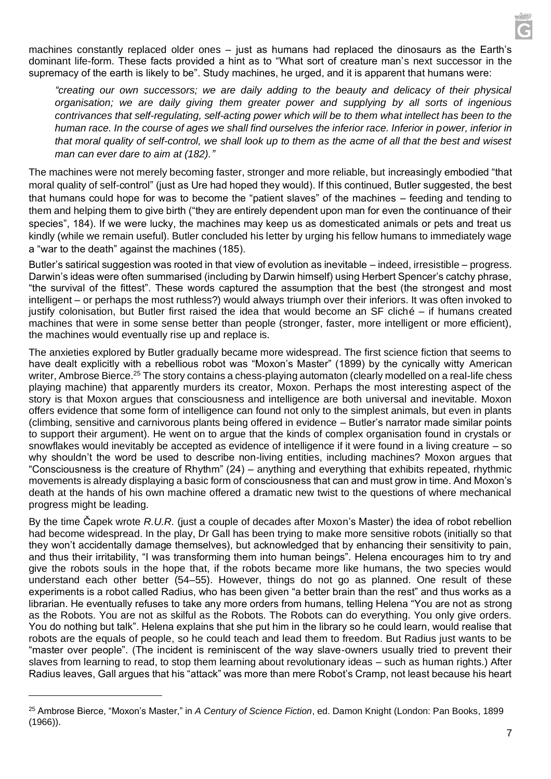machines constantly replaced older ones – just as humans had replaced the dinosaurs as the Earth's dominant life-form. These facts provided a hint as to "What sort of creature man's next successor in the supremacy of the earth is likely to be". Study machines, he urged, and it is apparent that humans were:

*"creating our own successors; we are daily adding to the beauty and delicacy of their physical organisation; we are daily giving them greater power and supplying by all sorts of ingenious contrivances that self-regulating, self-acting power which will be to them what intellect has been to the human race. In the course of ages we shall find ourselves the inferior race. Inferior in power, inferior in that moral quality of self-control, we shall look up to them as the acme of all that the best and wisest man can ever dare to aim at (182)."*

The machines were not merely becoming faster, stronger and more reliable, but increasingly embodied "that moral quality of self-control" (just as Ure had hoped they would). If this continued, Butler suggested, the best that humans could hope for was to become the "patient slaves" of the machines – feeding and tending to them and helping them to give birth ("they are entirely dependent upon man for even the continuance of their species", 184). If we were lucky, the machines may keep us as domesticated animals or pets and treat us kindly (while we remain useful). Butler concluded his letter by urging his fellow humans to immediately wage a "war to the death" against the machines (185).

Butler's satirical suggestion was rooted in that view of evolution as inevitable – indeed, irresistible – progress. Darwin's ideas were often summarised (including by Darwin himself) using Herbert Spencer's catchy phrase, "the survival of the fittest". These words captured the assumption that the best (the strongest and most intelligent – or perhaps the most ruthless?) would always triumph over their inferiors. It was often invoked to justify colonisation, but Butler first raised the idea that would become an SF cliché – if humans created machines that were in some sense better than people (stronger, faster, more intelligent or more efficient), the machines would eventually rise up and replace is.

The anxieties explored by Butler gradually became more widespread. The first science fiction that seems to have dealt explicitly with a rebellious robot was "Moxon's Master" (1899) by the cynically witty American writer, Ambrose Bierce.<sup>25</sup> The story contains a chess-playing automaton (clearly modelled on a real-life chess playing machine) that apparently murders its creator, Moxon. Perhaps the most interesting aspect of the story is that Moxon argues that consciousness and intelligence are both universal and inevitable. Moxon offers evidence that some form of intelligence can found not only to the simplest animals, but even in plants (climbing, sensitive and carnivorous plants being offered in evidence – Butler's narrator made similar points to support their argument). He went on to argue that the kinds of complex organisation found in crystals or snowflakes would inevitably be accepted as evidence of intelligence if it were found in a living creature – so why shouldn't the word be used to describe non-living entities, including machines? Moxon argues that "Consciousness is the creature of Rhythm" (24) – anything and everything that exhibits repeated, rhythmic movements is already displaying a basic form of consciousness that can and must grow in time. And Moxon's death at the hands of his own machine offered a dramatic new twist to the questions of where mechanical progress might be leading.

By the time Čapek wrote *R.U.R.* (just a couple of decades after Moxon's Master) the idea of robot rebellion had become widespread. In the play, Dr Gall has been trying to make more sensitive robots (initially so that they won't accidentally damage themselves), but acknowledged that by enhancing their sensitivity to pain, and thus their irritability, "I was transforming them into human beings". Helena encourages him to try and give the robots souls in the hope that, if the robots became more like humans, the two species would understand each other better (54–55). However, things do not go as planned. One result of these experiments is a robot called Radius, who has been given "a better brain than the rest" and thus works as a librarian. He eventually refuses to take any more orders from humans, telling Helena "You are not as strong as the Robots. You are not as skilful as the Robots. The Robots can do everything. You only give orders. You do nothing but talk". Helena explains that she put him in the library so he could learn, would realise that robots are the equals of people, so he could teach and lead them to freedom. But Radius just wants to be "master over people". (The incident is reminiscent of the way slave-owners usually tried to prevent their slaves from learning to read, to stop them learning about revolutionary ideas – such as human rights.) After Radius leaves, Gall argues that his "attack" was more than mere Robot's Cramp, not least because his heart

<sup>25</sup> Ambrose Bierce, "Moxon's Master," in *A Century of Science Fiction*, ed. Damon Knight (London: Pan Books, 1899 (1966)).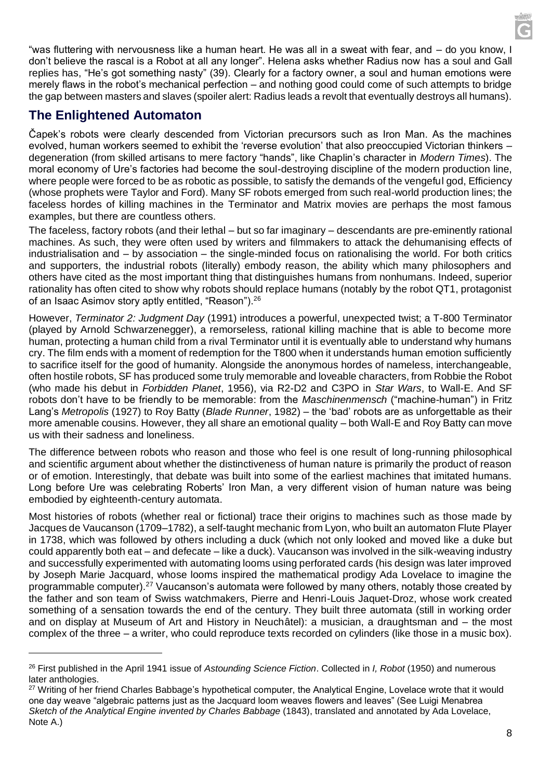"was fluttering with nervousness like a human heart. He was all in a sweat with fear, and – do you know, I don't believe the rascal is a Robot at all any longer". Helena asks whether Radius now has a soul and Gall replies has, "He's got something nasty" (39). Clearly for a factory owner, a soul and human emotions were merely flaws in the robot's mechanical perfection – and nothing good could come of such attempts to bridge

# **The Enlightened Automaton**

Čapek's robots were clearly descended from Victorian precursors such as Iron Man. As the machines evolved, human workers seemed to exhibit the 'reverse evolution' that also preoccupied Victorian thinkers – degeneration (from skilled artisans to mere factory "hands", like Chaplin's character in *Modern Times*). The moral economy of Ure's factories had become the soul-destroying discipline of the modern production line, where people were forced to be as robotic as possible, to satisfy the demands of the vengeful god, Efficiency (whose prophets were Taylor and Ford). Many SF robots emerged from such real-world production lines; the faceless hordes of killing machines in the Terminator and Matrix movies are perhaps the most famous examples, but there are countless others.

the gap between masters and slaves (spoiler alert: Radius leads a revolt that eventually destroys all humans).

The faceless, factory robots (and their lethal – but so far imaginary – descendants are pre-eminently rational machines. As such, they were often used by writers and filmmakers to attack the dehumanising effects of industrialisation and – by association – the single-minded focus on rationalising the world. For both critics and supporters, the industrial robots (literally) embody reason, the ability which many philosophers and others have cited as the most important thing that distinguishes humans from nonhumans. Indeed, superior rationality has often cited to show why robots should replace humans (notably by the robot QT1, protagonist of an Isaac Asimov story aptly entitled, "Reason").<sup>26</sup>

However, *Terminator 2: Judgment Day* (1991) introduces a powerful, unexpected twist; a T-800 Terminator (played by Arnold Schwarzenegger), a remorseless, rational killing machine that is able to become more human, protecting a human child from a rival Terminator until it is eventually able to understand why humans cry. The film ends with a moment of redemption for the T800 when it understands human emotion sufficiently to sacrifice itself for the good of humanity. Alongside the anonymous hordes of nameless, interchangeable, often hostile robots, SF has produced some truly memorable and loveable characters, from Robbie the Robot (who made his debut in *Forbidden Planet*, 1956), via R2-D2 and C3PO in *Star Wars*, to Wall-E. And SF robots don't have to be friendly to be memorable: from the *Maschinenmensch* ("machine-human") in Fritz Lang's *Metropolis* (1927) to Roy Batty (*Blade Runner*, 1982) – the 'bad' robots are as unforgettable as their more amenable cousins. However, they all share an emotional quality – both Wall-E and Roy Batty can move us with their sadness and loneliness.

The difference between robots who reason and those who feel is one result of long-running philosophical and scientific argument about whether the distinctiveness of human nature is primarily the product of reason or of emotion. Interestingly, that debate was built into some of the earliest machines that imitated humans. Long before Ure was celebrating Roberts' Iron Man, a very different vision of human nature was being embodied by eighteenth-century automata.

Most histories of robots (whether real or fictional) trace their origins to machines such as those made by Jacques de Vaucanson (1709–1782), a self-taught mechanic from Lyon, who built an automaton Flute Player in 1738, which was followed by others including a duck (which not only looked and moved like a duke but could apparently both eat – and defecate – like a duck). Vaucanson was involved in the silk-weaving industry and successfully experimented with automating looms using perforated cards (his design was later improved by Joseph Marie Jacquard, whose looms inspired the mathematical prodigy Ada Lovelace to imagine the programmable computer).<sup>27</sup> Vaucanson's automata were followed by many others, notably those created by the father and son team of Swiss watchmakers, Pierre and Henri-Louis Jaquet-Droz, whose work created something of a sensation towards the end of the century. They built three automata (still in working order and on display at Museum of Art and History in Neuchâtel): a musician, a draughtsman and – the most complex of the three – a writer, who could reproduce texts recorded on cylinders (like those in a music box).

<sup>26</sup> First published in the April 1941 issue of *Astounding Science Fiction*. Collected in *I, Robot* (1950) and numerous later anthologies.

<sup>&</sup>lt;sup>27</sup> Writing of her friend Charles Babbage's hypothetical computer, the Analytical Engine, Lovelace wrote that it would one day weave "algebraic patterns just as the Jacquard loom weaves flowers and leaves" (See Luigi Menabrea *Sketch of the Analytical Engine invented by Charles Babbage* (1843), translated and annotated by Ada Lovelace, Note A.)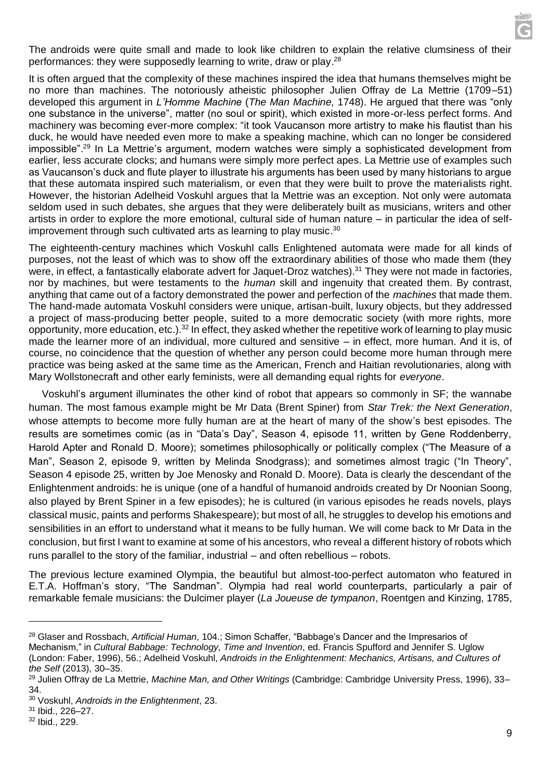The androids were quite small and made to look like children to explain the relative clumsiness of their performances: they were supposedly learning to write, draw or play.<sup>28</sup>

It is often argued that the complexity of these machines inspired the idea that humans themselves might be no more than machines. The notoriously atheistic philosopher Julien Offray de La Mettrie (1709–51) developed this argument in *L'Homme Machine* (*The Man Machine,* 1748). He argued that there was "only one substance in the universe", matter (no soul or spirit), which existed in more-or-less perfect forms. And machinery was becoming ever-more complex: "it took Vaucanson more artistry to make his flautist than his duck, he would have needed even more to make a speaking machine, which can no longer be considered impossible".<sup>29</sup> In La Mettrie's argument, modern watches were simply a sophisticated development from earlier, less accurate clocks; and humans were simply more perfect apes. La Mettrie use of examples such as Vaucanson's duck and flute player to illustrate his arguments has been used by many historians to argue that these automata inspired such materialism, or even that they were built to prove the materialists right. However, the historian Adelheid Voskuhl argues that la Mettrie was an exception. Not only were automata seldom used in such debates, she argues that they were deliberately built as musicians, writers and other artists in order to explore the more emotional, cultural side of human nature – in particular the idea of selfimprovement through such cultivated arts as learning to play music.<sup>30</sup>

The eighteenth-century machines which Voskuhl calls Enlightened automata were made for all kinds of purposes, not the least of which was to show off the extraordinary abilities of those who made them (they were, in effect, a fantastically elaborate advert for Jaquet-Droz watches).<sup>31</sup> They were not made in factories, nor by machines, but were testaments to the *human* skill and ingenuity that created them. By contrast, anything that came out of a factory demonstrated the power and perfection of the *machines* that made them. The hand-made automata Voskuhl considers were unique, artisan-built, luxury objects, but they addressed a project of mass-producing better people, suited to a more democratic society (with more rights, more opportunity, more education, etc.).<sup>32</sup> In effect, they asked whether the repetitive work of learning to play music made the learner more of an individual, more cultured and sensitive – in effect, more human. And it is, of course, no coincidence that the question of whether any person could become more human through mere practice was being asked at the same time as the American, French and Haitian revolutionaries, along with Mary Wollstonecraft and other early feminists, were all demanding equal rights for *everyone*.

Voskuhl's argument illuminates the other kind of robot that appears so commonly in SF; the wannabe human. The most famous example might be Mr Data (Brent Spiner) from *Star Trek: the Next Generation*, whose attempts to become more fully human are at the heart of many of the show's best episodes. The results are sometimes comic (as in "Data's Day", Season 4, episode 11, written by Gene Roddenberry, Harold Apter and Ronald D. Moore); sometimes philosophically or politically complex ("The Measure of a Man", Season 2, episode 9, written by Melinda Snodgrass); and sometimes almost tragic ("In Theory", Season 4 episode 25, written by Joe Menosky and Ronald D. Moore). Data is clearly the descendant of the Enlightenment androids: he is unique (one of a handful of humanoid androids created by Dr Noonian Soong, also played by Brent Spiner in a few episodes); he is cultured (in various episodes he reads novels, plays classical music, paints and performs Shakespeare); but most of all, he struggles to develop his emotions and sensibilities in an effort to understand what it means to be fully human. We will come back to Mr Data in the conclusion, but first I want to examine at some of his ancestors, who reveal a different history of robots which runs parallel to the story of the familiar, industrial – and often rebellious – robots.

The previous lecture examined Olympia, the beautiful but almost-too-perfect automaton who featured in E.T.A. Hoffman's story, "The Sandman". Olympia had real world counterparts, particularly a pair of remarkable female musicians: the Dulcimer player (*La Joueuse de tympanon*, Roentgen and Kinzing, 1785,

<sup>28</sup> Glaser and Rossbach, *Artificial Human*, 104.; Simon Schaffer, "Babbage's Dancer and the Impresarios of Mechanism," in *Cultural Babbage: Technology, Time and Invention*, ed. Francis Spufford and Jennifer S. Uglow (London: Faber, 1996), 56.; Adelheid Voskuhl, *Androids in the Enlightenment: Mechanics, Artisans, and Cultures of the Self* (2013), 30–35.

<sup>29</sup> Julien Offray de La Mettrie, *Machine Man, and Other Writings* (Cambridge: Cambridge University Press, 1996), 33– 34.

<sup>30</sup> Voskuhl, *Androids in the Enlightenment*, 23.

<sup>31</sup> Ibid., 226–27.

<sup>32</sup> Ibid., 229.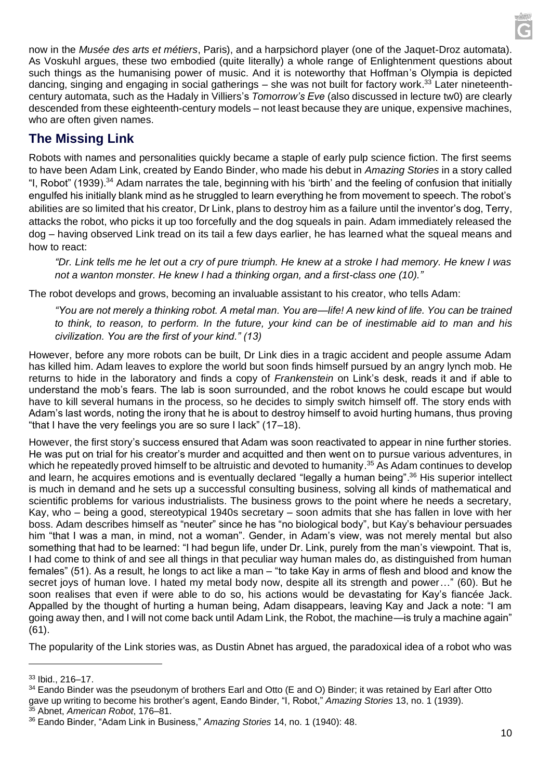now in the *Musée des arts et métiers*, Paris), and a harpsichord player (one of the Jaquet-Droz automata). As Voskuhl argues, these two embodied (quite literally) a whole range of Enlightenment questions about such things as the humanising power of music. And it is noteworthy that Hoffman's Olympia is depicted dancing, singing and engaging in social gatherings – she was not built for factory work.<sup>33</sup> Later nineteenthcentury automata, such as the Hadaly in Villiers's *Tomorrow's Eve* (also discussed in lecture tw0) are clearly descended from these eighteenth-century models – not least because they are unique, expensive machines, who are often given names.

# **The Missing Link**

Robots with names and personalities quickly became a staple of early pulp science fiction. The first seems to have been Adam Link, created by Eando Binder, who made his debut in *Amazing Stories* in a story called "I, Robot" (1939).<sup>34</sup> Adam narrates the tale, beginning with his 'birth' and the feeling of confusion that initially engulfed his initially blank mind as he struggled to learn everything he from movement to speech. The robot's abilities are so limited that his creator, Dr Link, plans to destroy him as a failure until the inventor's dog, Terry, attacks the robot, who picks it up too forcefully and the dog squeals in pain. Adam immediately released the dog – having observed Link tread on its tail a few days earlier, he has learned what the squeal means and how to react:

*"Dr. Link tells me he let out a cry of pure triumph. He knew at a stroke I had memory. He knew I was not a wanton monster. He knew I had a thinking organ, and a first-class one (10)."*

The robot develops and grows, becoming an invaluable assistant to his creator, who tells Adam:

*"You are not merely a thinking robot. A metal man. You are—life! A new kind of life. You can be trained to think, to reason, to perform. In the future, your kind can be of inestimable aid to man and his civilization. You are the first of your kind." (13)*

However, before any more robots can be built, Dr Link dies in a tragic accident and people assume Adam has killed him. Adam leaves to explore the world but soon finds himself pursued by an angry lynch mob. He returns to hide in the laboratory and finds a copy of *Frankenstein* on Link's desk, reads it and if able to understand the mob's fears. The lab is soon surrounded, and the robot knows he could escape but would have to kill several humans in the process, so he decides to simply switch himself off. The story ends with Adam's last words, noting the irony that he is about to destroy himself to avoid hurting humans, thus proving "that I have the very feelings you are so sure I lack" (17–18).

However, the first story's success ensured that Adam was soon reactivated to appear in nine further stories. He was put on trial for his creator's murder and acquitted and then went on to pursue various adventures, in which he repeatedly proved himself to be altruistic and devoted to humanity.<sup>35</sup> As Adam continues to develop and learn, he acquires emotions and is eventually declared "legally a human being".<sup>36</sup> His superior intellect is much in demand and he sets up a successful consulting business, solving all kinds of mathematical and scientific problems for various industrialists. The business grows to the point where he needs a secretary, Kay, who – being a good, stereotypical 1940s secretary – soon admits that she has fallen in love with her boss. Adam describes himself as "neuter" since he has "no biological body", but Kay's behaviour persuades him "that I was a man, in mind, not a woman". Gender, in Adam's view, was not merely mental but also something that had to be learned: "I had begun life, under Dr. Link, purely from the man's viewpoint. That is, I had come to think of and see all things in that peculiar way human males do, as distinguished from human females" (51). As a result, he longs to act like a man – "to take Kay in arms of flesh and blood and know the secret joys of human love. I hated my metal body now, despite all its strength and power…" (60). But he soon realises that even if were able to do so, his actions would be devastating for Kay's fiancée Jack. Appalled by the thought of hurting a human being, Adam disappears, leaving Kay and Jack a note: "I am going away then, and I will not come back until Adam Link, the Robot, the machine—is truly a machine again" (61).

The popularity of the Link stories was, as Dustin Abnet has argued, the paradoxical idea of a robot who was

<sup>33</sup> Ibid., 216–17.

<sup>&</sup>lt;sup>34</sup> Eando Binder was the pseudonym of brothers Earl and Otto (E and O) Binder; it was retained by Earl after Otto gave up writing to become his brother's agent, Eando Binder, "I, Robot," *Amazing Stories* 13, no. 1 (1939). <sup>35</sup> Abnet, *American Robot*, 176–81.

<sup>36</sup> Eando Binder, "Adam Link in Business," *Amazing Stories* 14, no. 1 (1940): 48.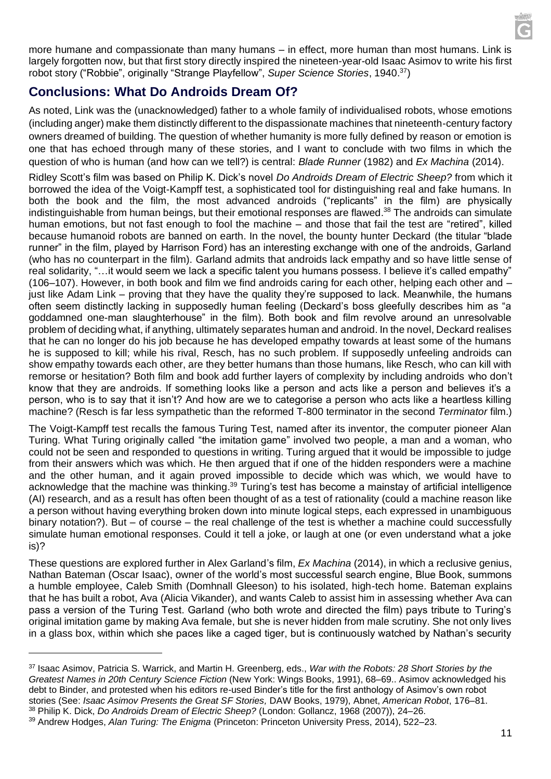

more humane and compassionate than many humans – in effect, more human than most humans. Link is largely forgotten now, but that first story directly inspired the nineteen-year-old Isaac Asimov to write his first robot story ("Robbie", originally "Strange Playfellow", *Super Science Stories*, 1940.<sup>37</sup>)

# **Conclusions: What Do Androids Dream Of?**

As noted, Link was the (unacknowledged) father to a whole family of individualised robots, whose emotions (including anger) make them distinctly different to the dispassionate machines that nineteenth-century factory owners dreamed of building. The question of whether humanity is more fully defined by reason or emotion is one that has echoed through many of these stories, and I want to conclude with two films in which the question of who is human (and how can we tell?) is central: *Blade Runner* (1982) and *Ex Machina* (2014).

Ridley Scott's film was based on Philip K. Dick's novel *Do Androids Dream of Electric Sheep?* from which it borrowed the idea of the Voigt-Kampff test, a sophisticated tool for distinguishing real and fake humans. In both the book and the film, the most advanced androids ("replicants" in the film) are physically indistinguishable from human beings, but their emotional responses are flawed.<sup>38</sup> The androids can simulate human emotions, but not fast enough to fool the machine – and those that fail the test are "retired", killed because humanoid robots are banned on earth. In the novel, the bounty hunter Deckard (the titular "blade runner" in the film, played by Harrison Ford) has an interesting exchange with one of the androids, Garland (who has no counterpart in the film). Garland admits that androids lack empathy and so have little sense of real solidarity, "…it would seem we lack a specific talent you humans possess. I believe it's called empathy" (106–107). However, in both book and film we find androids caring for each other, helping each other and – just like Adam Link – proving that they have the quality they're supposed to lack. Meanwhile, the humans often seem distinctly lacking in supposedly human feeling (Deckard's boss gleefully describes him as "a goddamned one-man slaughterhouse" in the film). Both book and film revolve around an unresolvable problem of deciding what, if anything, ultimately separates human and android. In the novel, Deckard realises that he can no longer do his job because he has developed empathy towards at least some of the humans he is supposed to kill; while his rival, Resch, has no such problem. If supposedly unfeeling androids can show empathy towards each other, are they better humans than those humans, like Resch, who can kill with remorse or hesitation? Both film and book add further layers of complexity by including androids who don't know that they are androids. If something looks like a person and acts like a person and believes it's a person, who is to say that it isn't? And how are we to categorise a person who acts like a heartless killing machine? (Resch is far less sympathetic than the reformed T-800 terminator in the second *Terminator* film.)

The Voigt-Kampff test recalls the famous Turing Test, named after its inventor, the computer pioneer Alan Turing. What Turing originally called "the imitation game" involved two people, a man and a woman, who could not be seen and responded to questions in writing. Turing argued that it would be impossible to judge from their answers which was which. He then argued that if one of the hidden responders were a machine and the other human, and it again proved impossible to decide which was which, we would have to acknowledge that the machine was thinking.<sup>39</sup> Turing's test has become a mainstay of artificial intelligence (AI) research, and as a result has often been thought of as a test of rationality (could a machine reason like a person without having everything broken down into minute logical steps, each expressed in unambiguous binary notation?). But – of course – the real challenge of the test is whether a machine could successfully simulate human emotional responses. Could it tell a joke, or laugh at one (or even understand what a joke is)?

These questions are explored further in Alex Garland's film, *Ex Machina* (2014), in which a reclusive genius, Nathan Bateman (Oscar Isaac), owner of the world's most successful search engine, Blue Book, summons a humble employee, Caleb Smith (Domhnall Gleeson) to his isolated, high-tech home. Bateman explains that he has built a robot, Ava (Alicia Vikander), and wants Caleb to assist him in assessing whether Ava can pass a version of the Turing Test. Garland (who both wrote and directed the film) pays tribute to Turing's original imitation game by making Ava female, but she is never hidden from male scrutiny. She not only lives in a glass box, within which she paces like a caged tiger, but is continuously watched by Nathan's security

<sup>37</sup> Isaac Asimov, Patricia S. Warrick, and Martin H. Greenberg, eds., *War with the Robots: 28 Short Stories by the Greatest Names in 20th Century Science Fiction* (New York: Wings Books, 1991), 68–69.. Asimov acknowledged his debt to Binder, and protested when his editors re-used Binder's title for the first anthology of Asimov's own robot stories (See: *Isaac Asimov Presents the Great SF Stories,* DAW Books, 1979), Abnet, *American Robot*, 176–81. <sup>38</sup> Philip K. Dick, *Do Androids Dream of Electric Sheep?* (London: Gollancz, 1968 (2007)), 24–26.

<sup>39</sup> Andrew Hodges, *Alan Turing: The Enigma* (Princeton: Princeton University Press, 2014), 522–23.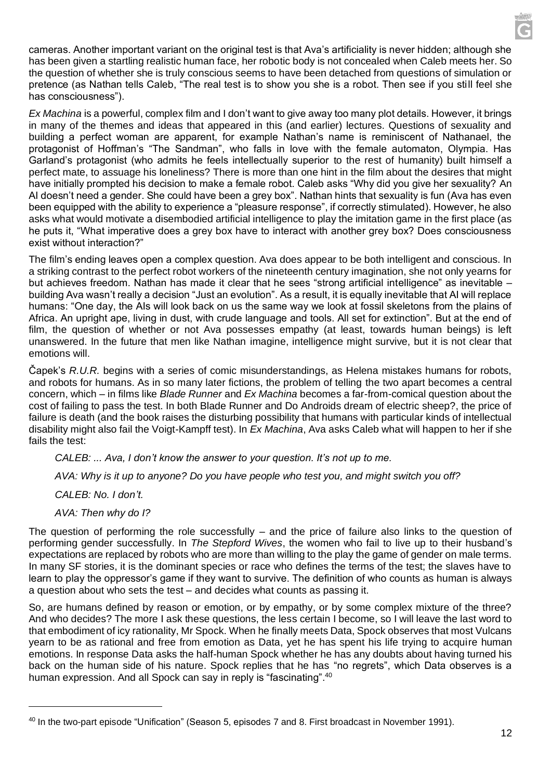cameras. Another important variant on the original test is that Ava's artificiality is never hidden; although she has been given a startling realistic human face, her robotic body is not concealed when Caleb meets her. So the question of whether she is truly conscious seems to have been detached from questions of simulation or pretence (as Nathan tells Caleb, "The real test is to show you she is a robot. Then see if you still feel she has consciousness").

*Ex Machina* is a powerful, complex film and I don't want to give away too many plot details. However, it brings in many of the themes and ideas that appeared in this (and earlier) lectures. Questions of sexuality and building a perfect woman are apparent, for example Nathan's name is reminiscent of Nathanael, the protagonist of Hoffman's "The Sandman", who falls in love with the female automaton, Olympia. Has Garland's protagonist (who admits he feels intellectually superior to the rest of humanity) built himself a perfect mate, to assuage his loneliness? There is more than one hint in the film about the desires that might have initially prompted his decision to make a female robot. Caleb asks "Why did you give her sexuality? An AI doesn't need a gender. She could have been a grey box". Nathan hints that sexuality is fun (Ava has even been equipped with the ability to experience a "pleasure response", if correctly stimulated). However, he also asks what would motivate a disembodied artificial intelligence to play the imitation game in the first place (as he puts it, "What imperative does a grey box have to interact with another grey box? Does consciousness exist without interaction?"

The film's ending leaves open a complex question. Ava does appear to be both intelligent and conscious. In a striking contrast to the perfect robot workers of the nineteenth century imagination, she not only yearns for but achieves freedom. Nathan has made it clear that he sees "strong artificial intelligence" as inevitable – building Ava wasn't really a decision "Just an evolution". As a result, it is equally inevitable that AI will replace humans: "One day, the AIs will look back on us the same way we look at fossil skeletons from the plains of Africa. An upright ape, living in dust, with crude language and tools. All set for extinction". But at the end of film, the question of whether or not Ava possesses empathy (at least, towards human beings) is left unanswered. In the future that men like Nathan imagine, intelligence might survive, but it is not clear that emotions will.

Čapek's *R.U.R.* begins with a series of comic misunderstandings, as Helena mistakes humans for robots, and robots for humans. As in so many later fictions, the problem of telling the two apart becomes a central concern, which – in films like *Blade Runner* and *Ex Machina* becomes a far-from-comical question about the cost of failing to pass the test. In both Blade Runner and Do Androids dream of electric sheep?, the price of failure is death (and the book raises the disturbing possibility that humans with particular kinds of intellectual disability might also fail the Voigt-Kampff test). In *Ex Machina*, Ava asks Caleb what will happen to her if she fails the test:

*CALEB: ... Ava, I don't know the answer to your question. It's not up to me.*

*AVA: Why is it up to anyone? Do you have people who test you, and might switch you off?*

*CALEB: No. I don't.*

*AVA: Then why do I?*

The question of performing the role successfully – and the price of failure also links to the question of performing gender successfully. In *The Stepford Wives*, the women who fail to live up to their husband's expectations are replaced by robots who are more than willing to the play the game of gender on male terms. In many SF stories, it is the dominant species or race who defines the terms of the test; the slaves have to learn to play the oppressor's game if they want to survive. The definition of who counts as human is always a question about who sets the test – and decides what counts as passing it.

So, are humans defined by reason or emotion, or by empathy, or by some complex mixture of the three? And who decides? The more I ask these questions, the less certain I become, so I will leave the last word to that embodiment of icy rationality, Mr Spock. When he finally meets Data, Spock observes that most Vulcans yearn to be as rational and free from emotion as Data, yet he has spent his life trying to acquire human emotions. In response Data asks the half-human Spock whether he has any doubts about having turned his back on the human side of his nature. Spock replies that he has "no regrets", which Data observes is a human expression. And all Spock can say in reply is "fascinating".<sup>40</sup>

<sup>40</sup> In the two-part episode "Unification" (Season 5, episodes 7 and 8. First broadcast in November 1991).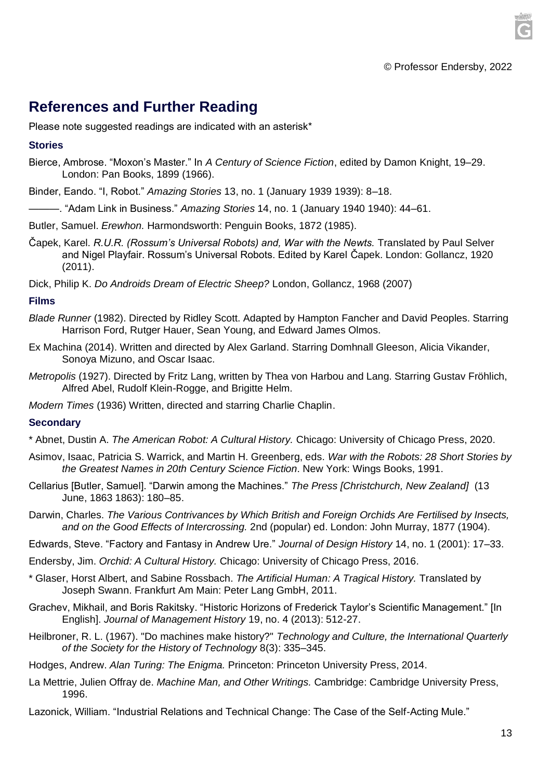# **References and Further Reading**

Please note suggested readings are indicated with an asterisk\*

#### **Stories**

- Bierce, Ambrose. "Moxon's Master." In *A Century of Science Fiction*, edited by Damon Knight, 19–29. London: Pan Books, 1899 (1966).
- Binder, Eando. "I, Robot." *Amazing Stories* 13, no. 1 (January 1939 1939): 8–18.
- ———. "Adam Link in Business." *Amazing Stories* 14, no. 1 (January 1940 1940): 44–61.
- Butler, Samuel. *Erewhon.* Harmondsworth: Penguin Books, 1872 (1985).
- Čapek, Karel. *R.U.R. (Rossum's Universal Robots) and, War with the Newts.* Translated by Paul Selver and Nigel Playfair. Rossum's Universal Robots. Edited by Karel Čapek. London: Gollancz, 1920 (2011).
- Dick, Philip K. *Do Androids Dream of Electric Sheep?* London, Gollancz, 1968 (2007)

#### **Films**

- *Blade Runner* (1982). Directed by Ridley Scott. Adapted by Hampton Fancher and David Peoples. Starring Harrison Ford, Rutger Hauer, Sean Young, and Edward James Olmos.
- Ex Machina (2014). Written and directed by Alex Garland. Starring Domhnall Gleeson, Alicia Vikander, Sonoya Mizuno, and Oscar Isaac.
- *Metropolis* (1927). Directed by Fritz Lang, written by Thea von Harbou and Lang. Starring Gustav Fröhlich, Alfred Abel, Rudolf Klein-Rogge, and Brigitte Helm.
- *Modern Times* (1936) Written, directed and starring Charlie Chaplin.

### **Secondary**

- \* Abnet, Dustin A. *The American Robot: A Cultural History.* Chicago: University of Chicago Press, 2020.
- Asimov, Isaac, Patricia S. Warrick, and Martin H. Greenberg, eds. *War with the Robots: 28 Short Stories by the Greatest Names in 20th Century Science Fiction*. New York: Wings Books, 1991.
- Cellarius [Butler, Samuel]. "Darwin among the Machines." *The Press [Christchurch, New Zealand]* (13 June, 1863 1863): 180–85.
- Darwin, Charles. *The Various Contrivances by Which British and Foreign Orchids Are Fertilised by Insects, and on the Good Effects of Intercrossing.* 2nd (popular) ed. London: John Murray, 1877 (1904).
- Edwards, Steve. "Factory and Fantasy in Andrew Ure." *Journal of Design History* 14, no. 1 (2001): 17–33.
- Endersby, Jim. *Orchid: A Cultural History.* Chicago: University of Chicago Press, 2016.
- \* Glaser, Horst Albert, and Sabine Rossbach. *The Artificial Human: A Tragical History.* Translated by Joseph Swann. Frankfurt Am Main: Peter Lang GmbH, 2011.
- Grachev, Mikhail, and Boris Rakitsky. "Historic Horizons of Frederick Taylor's Scientific Management." [In English]. *Journal of Management History* 19, no. 4 (2013): 512-27.
- Heilbroner, R. L. (1967). "Do machines make history?" *Technology and Culture, the International Quarterly of the Society for the History of Technology* 8(3): 335–345.
- Hodges, Andrew. *Alan Turing: The Enigma.* Princeton: Princeton University Press, 2014.
- La Mettrie, Julien Offray de. *Machine Man, and Other Writings.* Cambridge: Cambridge University Press, 1996.
- Lazonick, William. "Industrial Relations and Technical Change: The Case of the Self-Acting Mule."